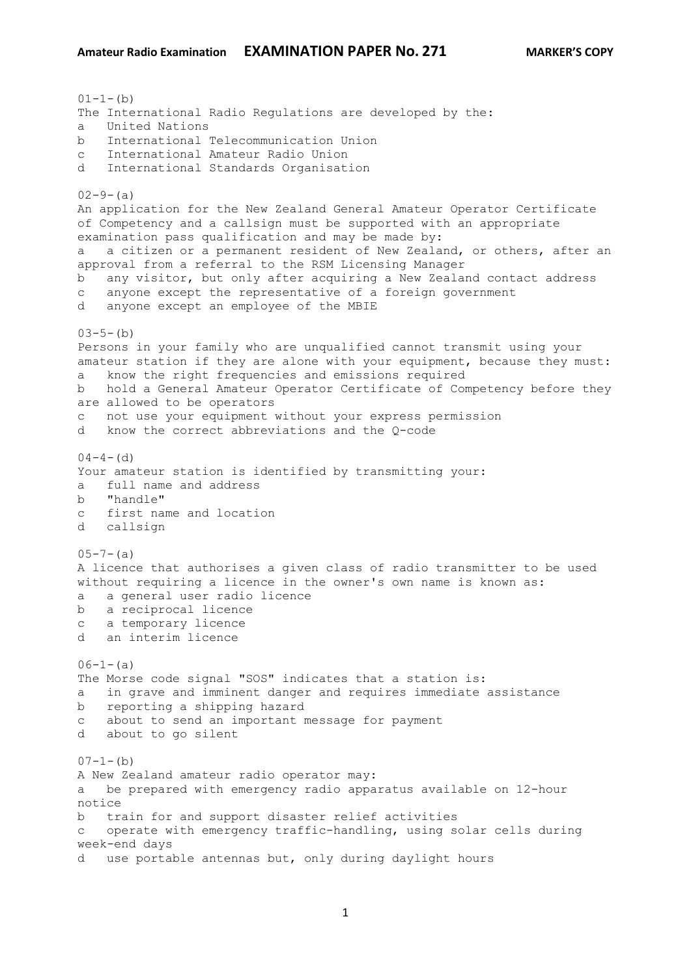$01-1-(b)$ The International Radio Regulations are developed by the: a United Nations b International Telecommunication Union c International Amateur Radio Union d International Standards Organisation  $02-9-(a)$ An application for the New Zealand General Amateur Operator Certificate of Competency and a callsign must be supported with an appropriate examination pass qualification and may be made by: a a citizen or a permanent resident of New Zealand, or others, after an approval from a referral to the RSM Licensing Manager b any visitor, but only after acquiring a New Zealand contact address c anyone except the representative of a foreign government d anyone except an employee of the MBIE  $03-5-(b)$ Persons in your family who are unqualified cannot transmit using your amateur station if they are alone with your equipment, because they must: a know the right frequencies and emissions required b hold a General Amateur Operator Certificate of Competency before they are allowed to be operators c not use your equipment without your express permission d know the correct abbreviations and the Q-code  $04-4-$  (d) Your amateur station is identified by transmitting your: a full name and address b "handle" c first name and location d callsign  $0.5 - 7 - (a)$ A licence that authorises a given class of radio transmitter to be used without requiring a licence in the owner's own name is known as: a a general user radio licence b a reciprocal licence c a temporary licence d an interim licence  $06-1-(a)$ The Morse code signal "SOS" indicates that a station is: a in grave and imminent danger and requires immediate assistance b reporting a shipping hazard c about to send an important message for payment d about to go silent  $07-1-(b)$ A New Zealand amateur radio operator may: a be prepared with emergency radio apparatus available on 12-hour notice b train for and support disaster relief activities c operate with emergency traffic-handling, using solar cells during week-end days d use portable antennas but, only during daylight hours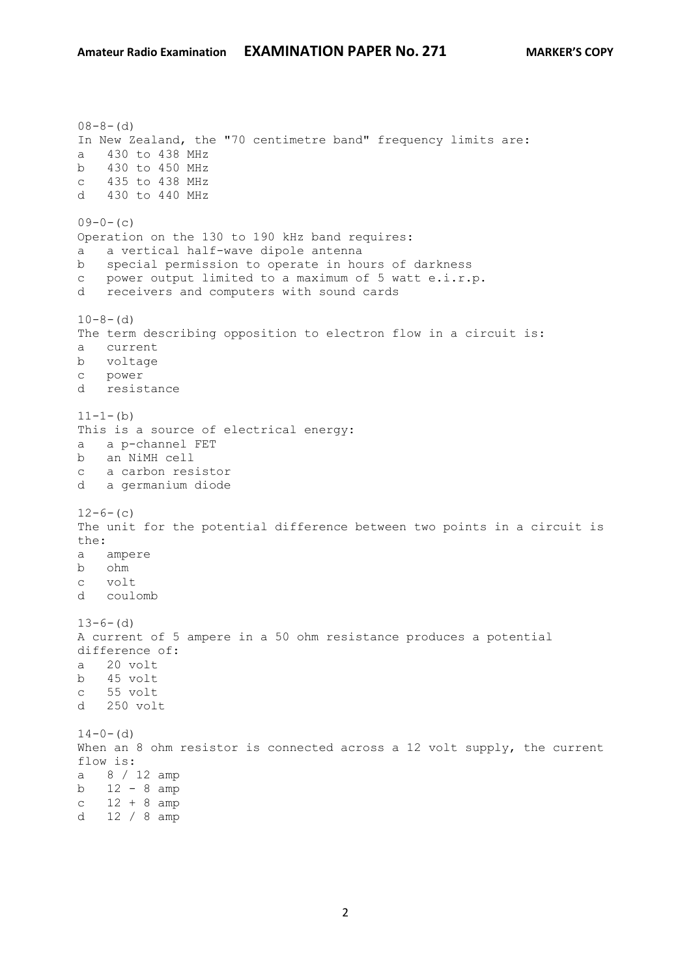$08-8-(d)$ In New Zealand, the "70 centimetre band" frequency limits are: a 430 to 438 MHz b 430 to 450 MHz c 435 to 438 MHz d 430 to 440 MHz  $09-0-(c)$ Operation on the 130 to 190 kHz band requires: a a vertical half-wave dipole antenna b special permission to operate in hours of darkness c power output limited to a maximum of 5 watt e.i.r.p.<br>d receivers and computers with sound cards receivers and computers with sound cards  $10-8-$  (d) The term describing opposition to electron flow in a circuit is: a current b voltage c power d resistance  $11-1-(b)$ This is a source of electrical energy: a a p-channel FET b an NiMH cell c a carbon resistor d a germanium diode  $12-6-(c)$ The unit for the potential difference between two points in a circuit is the: a ampere b ohm c volt d coulomb  $13-6-$  (d) A current of 5 ampere in a 50 ohm resistance produces a potential difference of: a 20 volt b 45 volt c 55 volt d 250 volt  $14-0-$  (d) When an 8 ohm resistor is connected across a 12 volt supply, the current flow is: a 8 / 12 amp b 12 - 8 amp  $c$  12 + 8 amp d 12 / 8 amp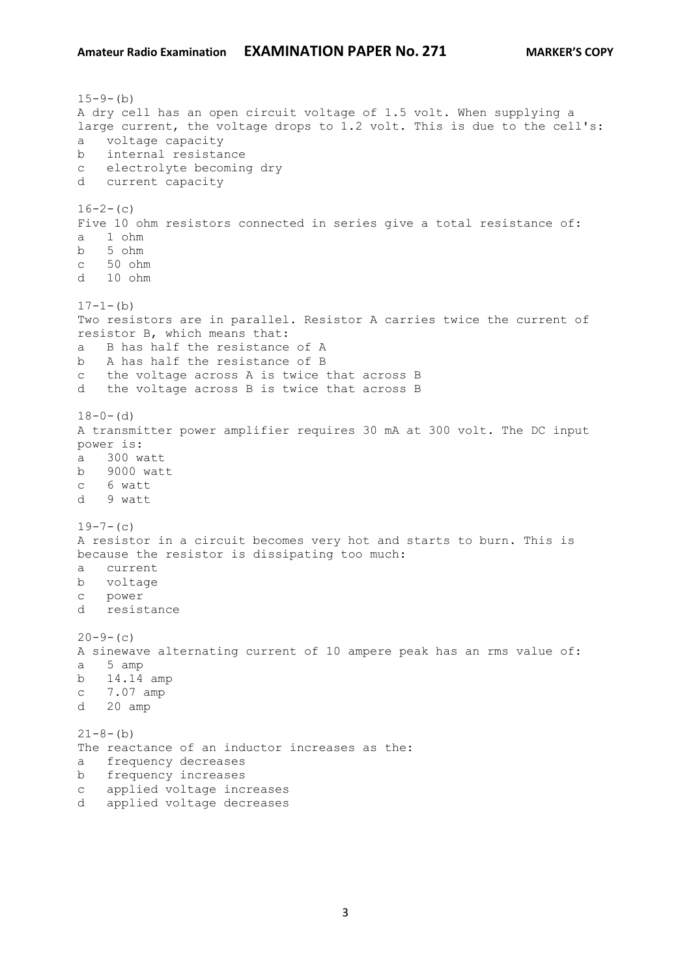$15-9-(b)$ A dry cell has an open circuit voltage of 1.5 volt. When supplying a large current, the voltage drops to 1.2 volt. This is due to the cell's: a voltage capacity b internal resistance c electrolyte becoming dry d current capacity  $16-2-(c)$ Five 10 ohm resistors connected in series give a total resistance of: a 1 ohm b 5 ohm c 50 ohm d 10 ohm  $17-1-(b)$ Two resistors are in parallel. Resistor A carries twice the current of resistor B, which means that: a B has half the resistance of A b A has half the resistance of B c the voltage across A is twice that across B d the voltage across B is twice that across B  $18-0-$  (d) A transmitter power amplifier requires 30 mA at 300 volt. The DC input power is: a 300 watt b 9000 watt c 6 watt d 9 watt  $19-7-$  (c) A resistor in a circuit becomes very hot and starts to burn. This is because the resistor is dissipating too much: a current b voltage c power d resistance  $20-9-$  (c) A sinewave alternating current of 10 ampere peak has an rms value of: a 5 amp b 14.14 amp c 7.07 amp d 20 amp  $21 - 8 - (b)$ The reactance of an inductor increases as the: a frequency decreases b frequency increases c applied voltage increases d applied voltage decreases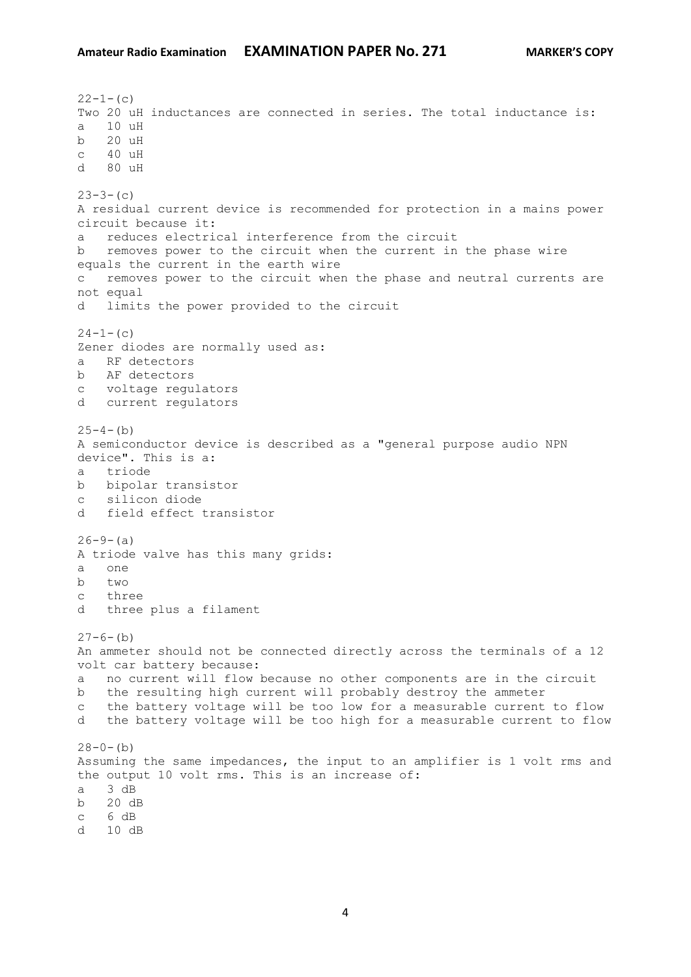$22 - 1 - (c)$ Two 20 uH inductances are connected in series. The total inductance is: a 10 uH b 20 uH  $c = 40$  uH d 80 uH  $23-3-(c)$ A residual current device is recommended for protection in a mains power circuit because it: a reduces electrical interference from the circuit b removes power to the circuit when the current in the phase wire equals the current in the earth wire c removes power to the circuit when the phase and neutral currents are not equal d limits the power provided to the circuit  $24-1-$ (c) Zener diodes are normally used as: a RF detectors b AF detectors c voltage regulators d current regulators  $25-4-(b)$ A semiconductor device is described as a "general purpose audio NPN device". This is a: a triode b bipolar transistor c silicon diode d field effect transistor  $26-9-(a)$ A triode valve has this many grids: a one b two c three d three plus a filament  $27-6-$ (b) An ammeter should not be connected directly across the terminals of a 12 volt car battery because: a no current will flow because no other components are in the circuit b the resulting high current will probably destroy the ammeter c the battery voltage will be too low for a measurable current to flow d the battery voltage will be too high for a measurable current to flow  $28-0-(b)$ Assuming the same impedances, the input to an amplifier is 1 volt rms and the output 10 volt rms. This is an increase of: a 3 dB b 20 dB c 6 dB d 10 dB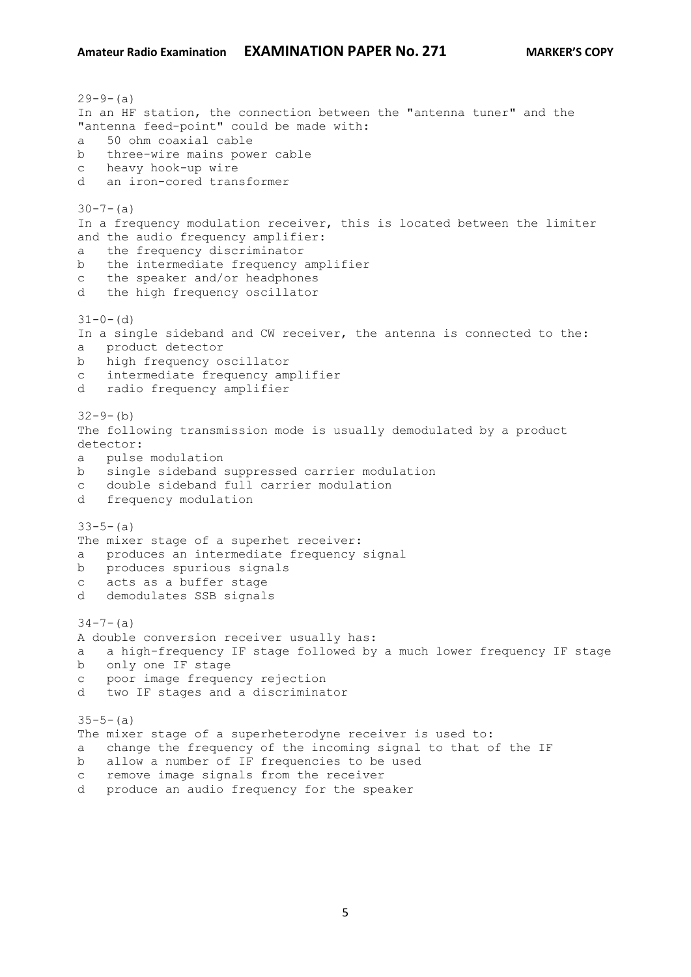$29-9-(a)$ In an HF station, the connection between the "antenna tuner" and the "antenna feed-point" could be made with: a 50 ohm coaxial cable b three-wire mains power cable c heavy hook-up wire d an iron-cored transformer  $30 - 7 - (a)$ In a frequency modulation receiver, this is located between the limiter and the audio frequency amplifier: a the frequency discriminator b the intermediate frequency amplifier c the speaker and/or headphones d the high frequency oscillator  $31-0-$  (d) In a single sideband and CW receiver, the antenna is connected to the: a product detector b high frequency oscillator c intermediate frequency amplifier d radio frequency amplifier  $32 - 9 - (b)$ The following transmission mode is usually demodulated by a product detector: a pulse modulation b single sideband suppressed carrier modulation c double sideband full carrier modulation d frequency modulation  $33-5-(a)$ The mixer stage of a superhet receiver: a produces an intermediate frequency signal b produces spurious signals c acts as a buffer stage d demodulates SSB signals  $34 - 7 - (a)$ A double conversion receiver usually has: a a high-frequency IF stage followed by a much lower frequency IF stage b only one IF stage c poor image frequency rejection d two IF stages and a discriminator  $35-5-(a)$ The mixer stage of a superheterodyne receiver is used to: a change the frequency of the incoming signal to that of the IF b allow a number of IF frequencies to be used c remove image signals from the receiver

d produce an audio frequency for the speaker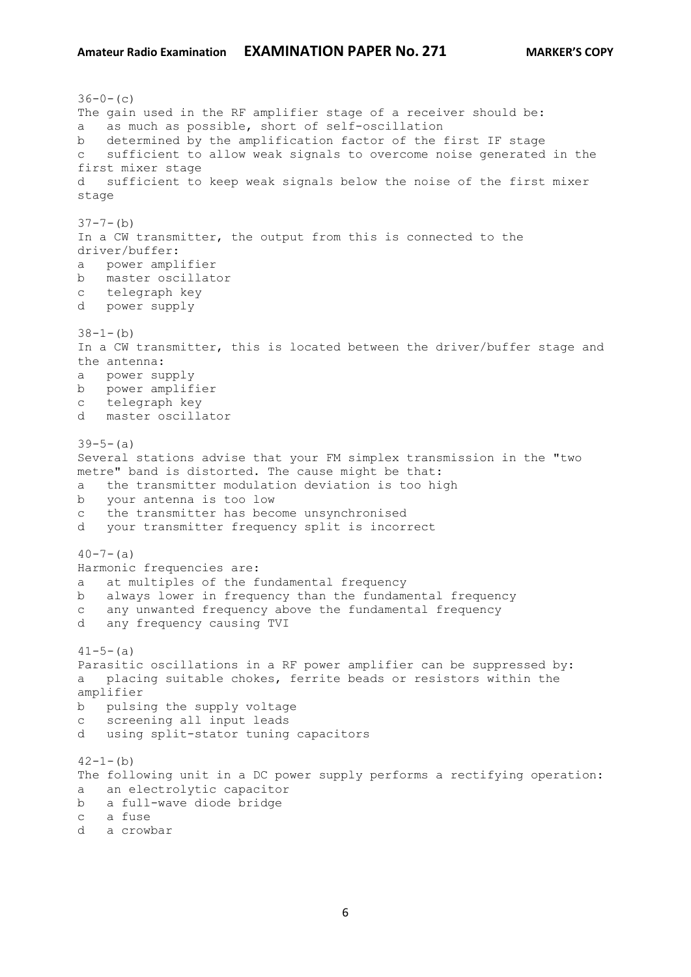$36-0-$  (c) The gain used in the RF amplifier stage of a receiver should be: a as much as possible, short of self-oscillation b determined by the amplification factor of the first IF stage c sufficient to allow weak signals to overcome noise generated in the first mixer stage d sufficient to keep weak signals below the noise of the first mixer stage  $37 - 7 - (b)$ In a CW transmitter, the output from this is connected to the driver/buffer: a power amplifier b master oscillator c telegraph key d power supply  $38-1-(b)$ In a CW transmitter, this is located between the driver/buffer stage and the antenna: a power supply b power amplifier c telegraph key d master oscillator  $39-5-(a)$ Several stations advise that your FM simplex transmission in the "two metre" band is distorted. The cause might be that: a the transmitter modulation deviation is too high b your antenna is too low c the transmitter has become unsynchronised d your transmitter frequency split is incorrect  $40 - 7 - (a)$ Harmonic frequencies are: a at multiples of the fundamental frequency b always lower in frequency than the fundamental frequency c any unwanted frequency above the fundamental frequency d any frequency causing TVI  $41-5-(a)$ Parasitic oscillations in a RF power amplifier can be suppressed by: a placing suitable chokes, ferrite beads or resistors within the amplifier b pulsing the supply voltage c screening all input leads d using split-stator tuning capacitors  $42-1-(b)$ The following unit in a DC power supply performs a rectifying operation: a an electrolytic capacitor b a full-wave diode bridge c a fuse d a crowbar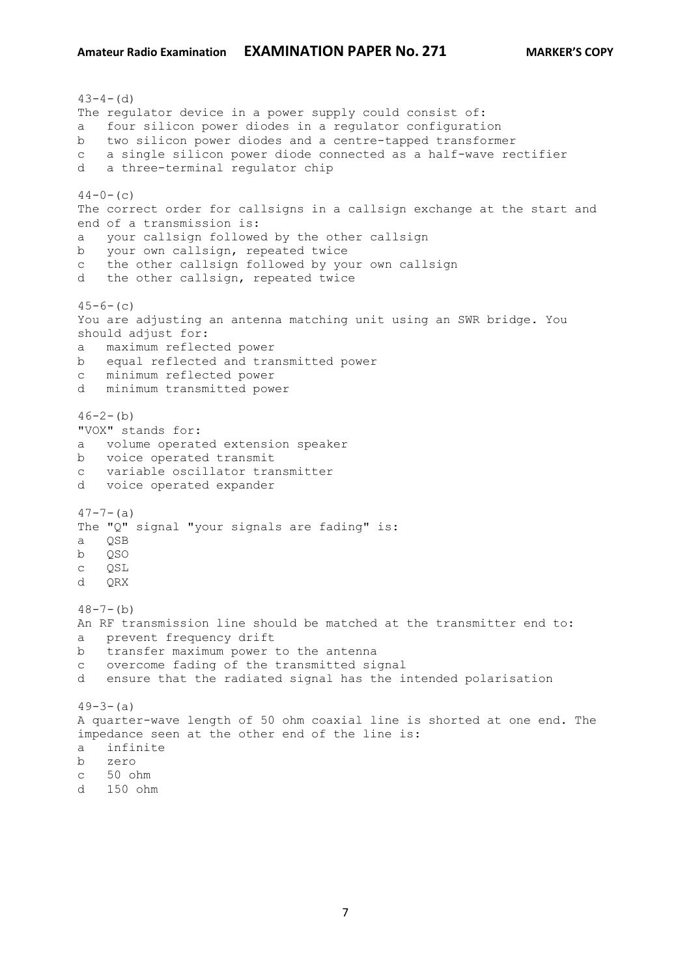```
43-4- (d)
The regulator device in a power supply could consist of:
a four silicon power diodes in a regulator configuration
b two silicon power diodes and a centre-tapped transformer
c a single silicon power diode connected as a half-wave rectifier
d a three-terminal regulator chip
44-0- (c)
The correct order for callsigns in a callsign exchange at the start and 
end of a transmission is:
a your callsign followed by the other callsign
b your own callsign, repeated twice
c the other callsign followed by your own callsign
d the other callsign, repeated twice
45-6- (c)
You are adjusting an antenna matching unit using an SWR bridge. You 
should adjust for:
a maximum reflected power
b equal reflected and transmitted power
c minimum reflected power
d minimum transmitted power
46 - 2 - (b)"VOX" stands for:
a volume operated extension speaker
b voice operated transmit
c variable oscillator transmitter
d voice operated expander
47 - 7 - (a)The "Q" signal "your signals are fading" is:
a QSB
b QSO
c QSL
d QRX
48 - 7 - (b)An RF transmission line should be matched at the transmitter end to:
a prevent frequency drift
b transfer maximum power to the antenna
c overcome fading of the transmitted signal
d ensure that the radiated signal has the intended polarisation
49-3-(a)A quarter-wave length of 50 ohm coaxial line is shorted at one end. The 
impedance seen at the other end of the line is:
a infinite
b zero
c 50 ohm
```
d 150 ohm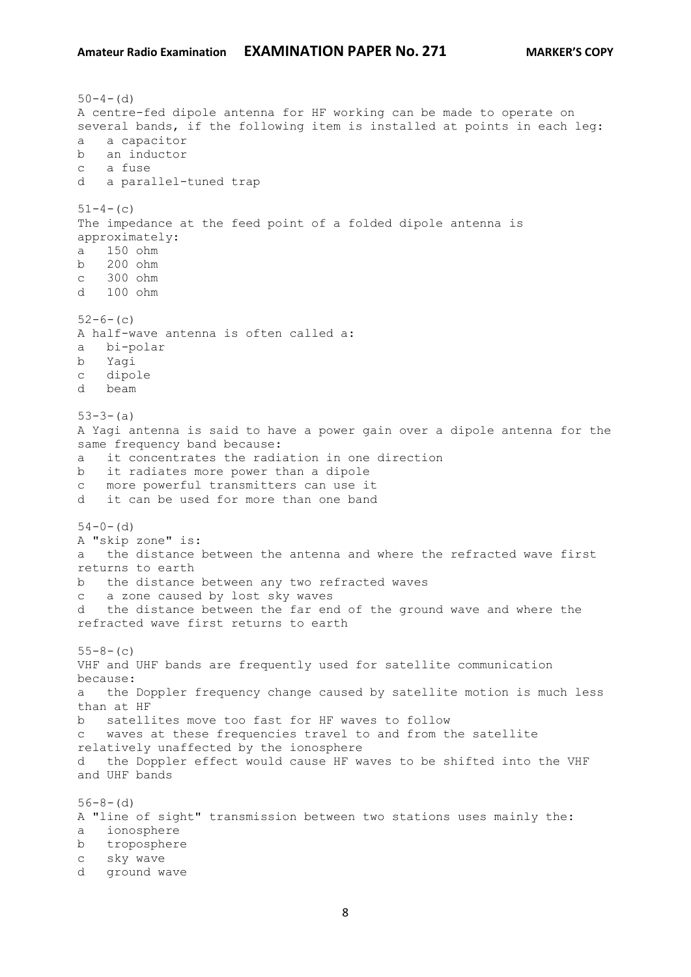```
50-4- (d)
A centre-fed dipole antenna for HF working can be made to operate on 
several bands, if the following item is installed at points in each leg:
a a capacitor
b an inductor
c a fuse
d a parallel-tuned trap
51-4-(c)
The impedance at the feed point of a folded dipole antenna is 
approximately:
a 150 ohm
b 200 ohm
c 300 ohm
d 100 ohm
52-6-(c)A half-wave antenna is often called a:
a bi-polar
b Yagi
c dipole
d beam
53-3-(a)A Yagi antenna is said to have a power gain over a dipole antenna for the 
same frequency band because:
a it concentrates the radiation in one direction
b it radiates more power than a dipole
c more powerful transmitters can use it
d it can be used for more than one band
54-0- (d)
A "skip zone" is:
a the distance between the antenna and where the refracted wave first 
returns to earth
b the distance between any two refracted waves
c a zone caused by lost sky waves
d the distance between the far end of the ground wave and where the 
refracted wave first returns to earth
55-8- (c)
VHF and UHF bands are frequently used for satellite communication 
because:
a the Doppler frequency change caused by satellite motion is much less 
than at HF
b satellites move too fast for HF waves to follow
c waves at these frequencies travel to and from the satellite 
relatively unaffected by the ionosphere
d the Doppler effect would cause HF waves to be shifted into the VHF 
and UHF bands
56-8-(d)A "line of sight" transmission between two stations uses mainly the:
a ionosphere
b troposphere
c sky wave
d ground wave
```